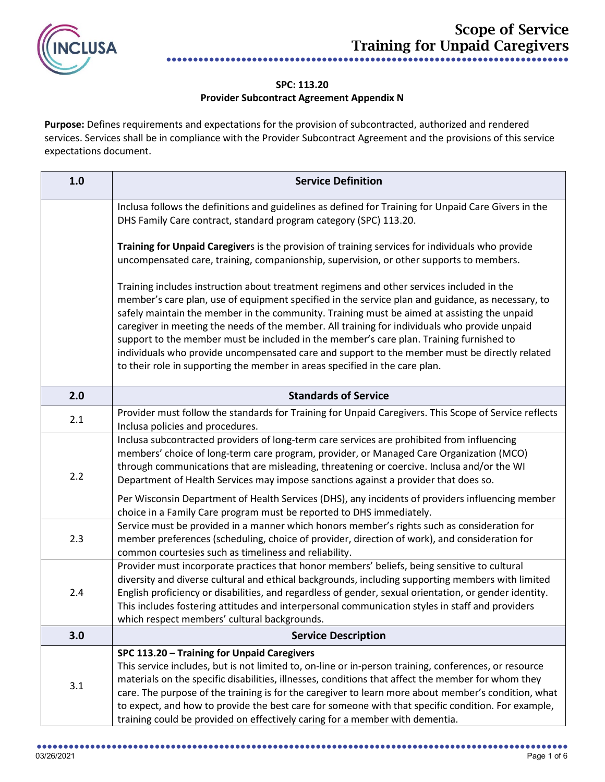

## **SPC: 113.20 Provider Subcontract Agreement Appendix N**

Purpose: Defines requirements and expectations for the provision of subcontracted, authorized and rendered services. Services shall be in compliance with the Provider Subcontract Agreement and the provisions of this service expectations document.

| 1.0 | <b>Service Definition</b>                                                                                                                                                                                                                                                                                                                                                                                                                                                                                                                                                                                                                                                 |
|-----|---------------------------------------------------------------------------------------------------------------------------------------------------------------------------------------------------------------------------------------------------------------------------------------------------------------------------------------------------------------------------------------------------------------------------------------------------------------------------------------------------------------------------------------------------------------------------------------------------------------------------------------------------------------------------|
|     | Inclusa follows the definitions and guidelines as defined for Training for Unpaid Care Givers in the<br>DHS Family Care contract, standard program category (SPC) 113.20.                                                                                                                                                                                                                                                                                                                                                                                                                                                                                                 |
|     | Training for Unpaid Caregivers is the provision of training services for individuals who provide<br>uncompensated care, training, companionship, supervision, or other supports to members.                                                                                                                                                                                                                                                                                                                                                                                                                                                                               |
|     | Training includes instruction about treatment regimens and other services included in the<br>member's care plan, use of equipment specified in the service plan and guidance, as necessary, to<br>safely maintain the member in the community. Training must be aimed at assisting the unpaid<br>caregiver in meeting the needs of the member. All training for individuals who provide unpaid<br>support to the member must be included in the member's care plan. Training furnished to<br>individuals who provide uncompensated care and support to the member must be directly related<br>to their role in supporting the member in areas specified in the care plan. |
| 2.0 | <b>Standards of Service</b>                                                                                                                                                                                                                                                                                                                                                                                                                                                                                                                                                                                                                                               |
| 2.1 | Provider must follow the standards for Training for Unpaid Caregivers. This Scope of Service reflects<br>Inclusa policies and procedures.                                                                                                                                                                                                                                                                                                                                                                                                                                                                                                                                 |
| 2.2 | Inclusa subcontracted providers of long-term care services are prohibited from influencing<br>members' choice of long-term care program, provider, or Managed Care Organization (MCO)<br>through communications that are misleading, threatening or coercive. Inclusa and/or the WI<br>Department of Health Services may impose sanctions against a provider that does so.                                                                                                                                                                                                                                                                                                |
|     | Per Wisconsin Department of Health Services (DHS), any incidents of providers influencing member<br>choice in a Family Care program must be reported to DHS immediately.                                                                                                                                                                                                                                                                                                                                                                                                                                                                                                  |
| 2.3 | Service must be provided in a manner which honors member's rights such as consideration for<br>member preferences (scheduling, choice of provider, direction of work), and consideration for<br>common courtesies such as timeliness and reliability.                                                                                                                                                                                                                                                                                                                                                                                                                     |
| 2.4 | Provider must incorporate practices that honor members' beliefs, being sensitive to cultural<br>diversity and diverse cultural and ethical backgrounds, including supporting members with limited<br>English proficiency or disabilities, and regardless of gender, sexual orientation, or gender identity.<br>This includes fostering attitudes and interpersonal communication styles in staff and providers<br>which respect members' cultural backgrounds.                                                                                                                                                                                                            |
| 3.0 | <b>Service Description</b>                                                                                                                                                                                                                                                                                                                                                                                                                                                                                                                                                                                                                                                |
| 3.1 | SPC 113.20 - Training for Unpaid Caregivers<br>This service includes, but is not limited to, on-line or in-person training, conferences, or resource<br>materials on the specific disabilities, illnesses, conditions that affect the member for whom they<br>care. The purpose of the training is for the caregiver to learn more about member's condition, what<br>to expect, and how to provide the best care for someone with that specific condition. For example,<br>training could be provided on effectively caring for a member with dementia.                                                                                                                   |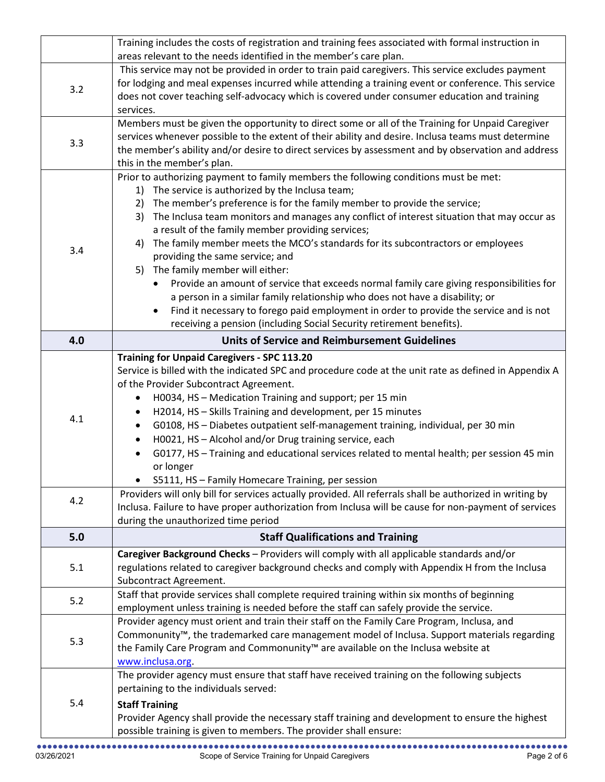|            | Training includes the costs of registration and training fees associated with formal instruction in                                                                                                                                                                                                                                                                                                                                                                                                                                                                                                                                                                                                                                                                                                                                                                                                                                             |
|------------|-------------------------------------------------------------------------------------------------------------------------------------------------------------------------------------------------------------------------------------------------------------------------------------------------------------------------------------------------------------------------------------------------------------------------------------------------------------------------------------------------------------------------------------------------------------------------------------------------------------------------------------------------------------------------------------------------------------------------------------------------------------------------------------------------------------------------------------------------------------------------------------------------------------------------------------------------|
|            | areas relevant to the needs identified in the member's care plan.                                                                                                                                                                                                                                                                                                                                                                                                                                                                                                                                                                                                                                                                                                                                                                                                                                                                               |
| 3.2        | This service may not be provided in order to train paid caregivers. This service excludes payment<br>for lodging and meal expenses incurred while attending a training event or conference. This service<br>does not cover teaching self-advocacy which is covered under consumer education and training<br>services.                                                                                                                                                                                                                                                                                                                                                                                                                                                                                                                                                                                                                           |
| 3.3        | Members must be given the opportunity to direct some or all of the Training for Unpaid Caregiver<br>services whenever possible to the extent of their ability and desire. Inclusa teams must determine<br>the member's ability and/or desire to direct services by assessment and by observation and address<br>this in the member's plan.                                                                                                                                                                                                                                                                                                                                                                                                                                                                                                                                                                                                      |
| 3.4        | Prior to authorizing payment to family members the following conditions must be met:<br>The service is authorized by the Inclusa team;<br>1)<br>The member's preference is for the family member to provide the service;<br>2)<br>The Inclusa team monitors and manages any conflict of interest situation that may occur as<br>3)<br>a result of the family member providing services;<br>The family member meets the MCO's standards for its subcontractors or employees<br>4)<br>providing the same service; and<br>5) The family member will either:<br>Provide an amount of service that exceeds normal family care giving responsibilities for<br>a person in a similar family relationship who does not have a disability; or<br>Find it necessary to forego paid employment in order to provide the service and is not<br>$\bullet$<br>receiving a pension (including Social Security retirement benefits).                             |
| 4.0        | <b>Units of Service and Reimbursement Guidelines</b>                                                                                                                                                                                                                                                                                                                                                                                                                                                                                                                                                                                                                                                                                                                                                                                                                                                                                            |
| 4.1<br>4.2 | <b>Training for Unpaid Caregivers - SPC 113.20</b><br>Service is billed with the indicated SPC and procedure code at the unit rate as defined in Appendix A<br>of the Provider Subcontract Agreement.<br>H0034, HS - Medication Training and support; per 15 min<br>H2014, HS - Skills Training and development, per 15 minutes<br>$\bullet$<br>G0108, HS - Diabetes outpatient self-management training, individual, per 30 min<br>$\bullet$<br>H0021, HS - Alcohol and/or Drug training service, each<br>$\bullet$<br>G0177, HS - Training and educational services related to mental health; per session 45 min<br>or longer<br>S5111, HS - Family Homecare Training, per session<br>Providers will only bill for services actually provided. All referrals shall be authorized in writing by<br>Inclusa. Failure to have proper authorization from Inclusa will be cause for non-payment of services<br>during the unauthorized time period |
| 5.0        | <b>Staff Qualifications and Training</b>                                                                                                                                                                                                                                                                                                                                                                                                                                                                                                                                                                                                                                                                                                                                                                                                                                                                                                        |
| 5.1        | Caregiver Background Checks - Providers will comply with all applicable standards and/or<br>regulations related to caregiver background checks and comply with Appendix H from the Inclusa<br>Subcontract Agreement.                                                                                                                                                                                                                                                                                                                                                                                                                                                                                                                                                                                                                                                                                                                            |
| 5.2        | Staff that provide services shall complete required training within six months of beginning<br>employment unless training is needed before the staff can safely provide the service.                                                                                                                                                                                                                                                                                                                                                                                                                                                                                                                                                                                                                                                                                                                                                            |
| 5.3        | Provider agency must orient and train their staff on the Family Care Program, Inclusa, and<br>Commonunity <sup>™</sup> , the trademarked care management model of Inclusa. Support materials regarding<br>the Family Care Program and Commonunity™ are available on the Inclusa website at<br>www.inclusa.org.                                                                                                                                                                                                                                                                                                                                                                                                                                                                                                                                                                                                                                  |
| 5.4        | The provider agency must ensure that staff have received training on the following subjects<br>pertaining to the individuals served:<br><b>Staff Training</b><br>Provider Agency shall provide the necessary staff training and development to ensure the highest<br>possible training is given to members. The provider shall ensure:                                                                                                                                                                                                                                                                                                                                                                                                                                                                                                                                                                                                          |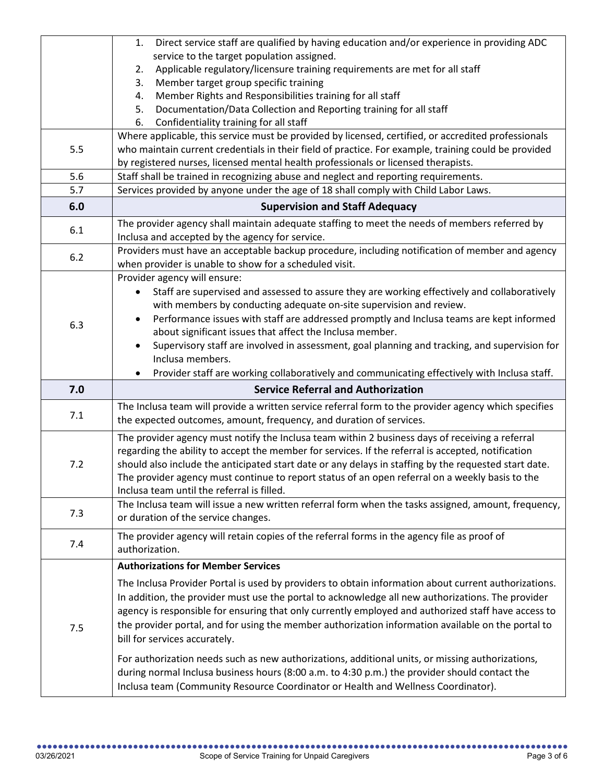|     | Direct service staff are qualified by having education and/or experience in providing ADC<br>1.                                               |
|-----|-----------------------------------------------------------------------------------------------------------------------------------------------|
|     | service to the target population assigned.                                                                                                    |
|     | Applicable regulatory/licensure training requirements are met for all staff<br>2.                                                             |
|     | Member target group specific training<br>3.                                                                                                   |
|     | Member Rights and Responsibilities training for all staff<br>4.                                                                               |
|     | Documentation/Data Collection and Reporting training for all staff<br>5.                                                                      |
|     | 6.<br>Confidentiality training for all staff                                                                                                  |
|     | Where applicable, this service must be provided by licensed, certified, or accredited professionals                                           |
| 5.5 | who maintain current credentials in their field of practice. For example, training could be provided                                          |
|     | by registered nurses, licensed mental health professionals or licensed therapists.                                                            |
| 5.6 | Staff shall be trained in recognizing abuse and neglect and reporting requirements.                                                           |
| 5.7 | Services provided by anyone under the age of 18 shall comply with Child Labor Laws.                                                           |
| 6.0 | <b>Supervision and Staff Adequacy</b>                                                                                                         |
| 6.1 | The provider agency shall maintain adequate staffing to meet the needs of members referred by                                                 |
|     | Inclusa and accepted by the agency for service.                                                                                               |
|     | Providers must have an acceptable backup procedure, including notification of member and agency                                               |
| 6.2 | when provider is unable to show for a scheduled visit.                                                                                        |
|     | Provider agency will ensure:                                                                                                                  |
|     | Staff are supervised and assessed to assure they are working effectively and collaboratively                                                  |
|     | with members by conducting adequate on-site supervision and review.                                                                           |
|     | Performance issues with staff are addressed promptly and Inclusa teams are kept informed                                                      |
| 6.3 | about significant issues that affect the Inclusa member.                                                                                      |
|     | Supervisory staff are involved in assessment, goal planning and tracking, and supervision for                                                 |
|     | Inclusa members.                                                                                                                              |
|     | Provider staff are working collaboratively and communicating effectively with Inclusa staff.                                                  |
| 7.0 | <b>Service Referral and Authorization</b>                                                                                                     |
|     |                                                                                                                                               |
|     | The Inclusa team will provide a written service referral form to the provider agency which specifies                                          |
| 7.1 | the expected outcomes, amount, frequency, and duration of services.                                                                           |
|     |                                                                                                                                               |
|     | The provider agency must notify the Inclusa team within 2 business days of receiving a referral                                               |
| 7.2 | regarding the ability to accept the member for services. If the referral is accepted, notification                                            |
|     | should also include the anticipated start date or any delays in staffing by the requested start date.                                         |
|     | The provider agency must continue to report status of an open referral on a weekly basis to the<br>Inclusa team until the referral is filled. |
|     | The Inclusa team will issue a new written referral form when the tasks assigned, amount, frequency,                                           |
| 7.3 | or duration of the service changes.                                                                                                           |
|     |                                                                                                                                               |
| 7.4 | The provider agency will retain copies of the referral forms in the agency file as proof of                                                   |
|     | authorization.                                                                                                                                |
|     | <b>Authorizations for Member Services</b>                                                                                                     |
|     | The Inclusa Provider Portal is used by providers to obtain information about current authorizations.                                          |
|     | In addition, the provider must use the portal to acknowledge all new authorizations. The provider                                             |
|     | agency is responsible for ensuring that only currently employed and authorized staff have access to                                           |
| 7.5 | the provider portal, and for using the member authorization information available on the portal to                                            |
|     | bill for services accurately.                                                                                                                 |
|     | For authorization needs such as new authorizations, additional units, or missing authorizations,                                              |
|     | during normal Inclusa business hours (8:00 a.m. to 4:30 p.m.) the provider should contact the                                                 |
|     | Inclusa team (Community Resource Coordinator or Health and Wellness Coordinator).                                                             |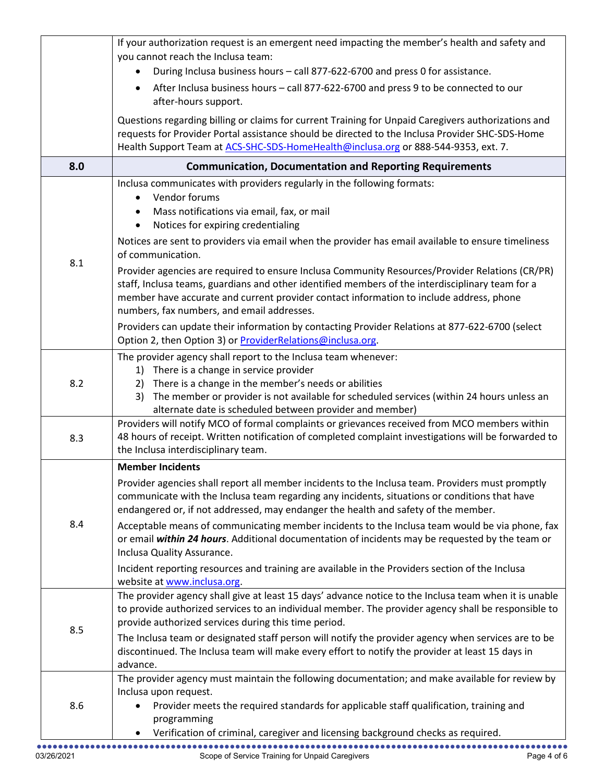|     | If your authorization request is an emergent need impacting the member's health and safety and                                                                                                    |
|-----|---------------------------------------------------------------------------------------------------------------------------------------------------------------------------------------------------|
|     | you cannot reach the Inclusa team:<br>During Inclusa business hours - call 877-622-6700 and press 0 for assistance.                                                                               |
|     | After Inclusa business hours - call 877-622-6700 and press 9 to be connected to our                                                                                                               |
|     | after-hours support.                                                                                                                                                                              |
|     | Questions regarding billing or claims for current Training for Unpaid Caregivers authorizations and                                                                                               |
|     | requests for Provider Portal assistance should be directed to the Inclusa Provider SHC-SDS-Home                                                                                                   |
| 8.0 | Health Support Team at ACS-SHC-SDS-HomeHealth@inclusa.org or 888-544-9353, ext. 7.<br><b>Communication, Documentation and Reporting Requirements</b>                                              |
|     | Inclusa communicates with providers regularly in the following formats:                                                                                                                           |
|     | Vendor forums<br>$\bullet$                                                                                                                                                                        |
|     | Mass notifications via email, fax, or mail<br>$\bullet$                                                                                                                                           |
|     | Notices for expiring credentialing<br>$\bullet$                                                                                                                                                   |
|     | Notices are sent to providers via email when the provider has email available to ensure timeliness<br>of communication.                                                                           |
| 8.1 | Provider agencies are required to ensure Inclusa Community Resources/Provider Relations (CR/PR)                                                                                                   |
|     | staff, Inclusa teams, guardians and other identified members of the interdisciplinary team for a                                                                                                  |
|     | member have accurate and current provider contact information to include address, phone<br>numbers, fax numbers, and email addresses.                                                             |
|     | Providers can update their information by contacting Provider Relations at 877-622-6700 (select                                                                                                   |
|     | Option 2, then Option 3) or ProviderRelations@inclusa.org.                                                                                                                                        |
|     | The provider agency shall report to the Inclusa team whenever:                                                                                                                                    |
|     | 1) There is a change in service provider                                                                                                                                                          |
| 8.2 | There is a change in the member's needs or abilities<br>2)                                                                                                                                        |
|     | The member or provider is not available for scheduled services (within 24 hours unless an<br>3)                                                                                                   |
|     | alternate date is scheduled between provider and member)<br>Providers will notify MCO of formal complaints or grievances received from MCO members within                                         |
| 8.3 | 48 hours of receipt. Written notification of completed complaint investigations will be forwarded to                                                                                              |
|     | the Inclusa interdisciplinary team.                                                                                                                                                               |
|     | <b>Member Incidents</b>                                                                                                                                                                           |
|     | Provider agencies shall report all member incidents to the Inclusa team. Providers must promptly                                                                                                  |
|     | communicate with the Inclusa team regarding any incidents, situations or conditions that have                                                                                                     |
| 8.4 | endangered or, if not addressed, may endanger the health and safety of the member.                                                                                                                |
|     | Acceptable means of communicating member incidents to the Inclusa team would be via phone, fax<br>or email within 24 hours. Additional documentation of incidents may be requested by the team or |
|     | Inclusa Quality Assurance.                                                                                                                                                                        |
|     | Incident reporting resources and training are available in the Providers section of the Inclusa                                                                                                   |
|     | website at www.inclusa.org.                                                                                                                                                                       |
|     | The provider agency shall give at least 15 days' advance notice to the Inclusa team when it is unable                                                                                             |
|     | to provide authorized services to an individual member. The provider agency shall be responsible to<br>provide authorized services during this time period.                                       |
| 8.5 | The Inclusa team or designated staff person will notify the provider agency when services are to be                                                                                               |
|     | discontinued. The Inclusa team will make every effort to notify the provider at least 15 days in                                                                                                  |
|     | advance.                                                                                                                                                                                          |
|     | The provider agency must maintain the following documentation; and make available for review by                                                                                                   |
| 8.6 | Inclusa upon request.<br>Provider meets the required standards for applicable staff qualification, training and                                                                                   |
|     | programming                                                                                                                                                                                       |
|     | Verification of criminal, caregiver and licensing background checks as required.<br>$\bullet$                                                                                                     |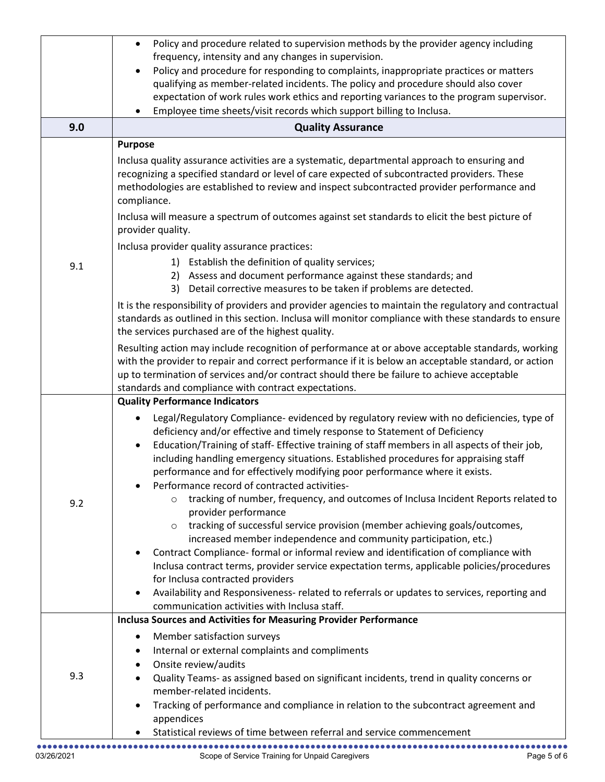|     | Policy and procedure related to supervision methods by the provider agency including<br>$\bullet$                                                                                                                                                                                                                                                                                                                                                                                                                                                                                                                                                                                                                                                                                                                                                                                                                                                                                                                                                                                                                                          |
|-----|--------------------------------------------------------------------------------------------------------------------------------------------------------------------------------------------------------------------------------------------------------------------------------------------------------------------------------------------------------------------------------------------------------------------------------------------------------------------------------------------------------------------------------------------------------------------------------------------------------------------------------------------------------------------------------------------------------------------------------------------------------------------------------------------------------------------------------------------------------------------------------------------------------------------------------------------------------------------------------------------------------------------------------------------------------------------------------------------------------------------------------------------|
|     | frequency, intensity and any changes in supervision.                                                                                                                                                                                                                                                                                                                                                                                                                                                                                                                                                                                                                                                                                                                                                                                                                                                                                                                                                                                                                                                                                       |
|     | Policy and procedure for responding to complaints, inappropriate practices or matters<br>$\bullet$<br>qualifying as member-related incidents. The policy and procedure should also cover                                                                                                                                                                                                                                                                                                                                                                                                                                                                                                                                                                                                                                                                                                                                                                                                                                                                                                                                                   |
|     | expectation of work rules work ethics and reporting variances to the program supervisor.                                                                                                                                                                                                                                                                                                                                                                                                                                                                                                                                                                                                                                                                                                                                                                                                                                                                                                                                                                                                                                                   |
|     | Employee time sheets/visit records which support billing to Inclusa.                                                                                                                                                                                                                                                                                                                                                                                                                                                                                                                                                                                                                                                                                                                                                                                                                                                                                                                                                                                                                                                                       |
| 9.0 | <b>Quality Assurance</b>                                                                                                                                                                                                                                                                                                                                                                                                                                                                                                                                                                                                                                                                                                                                                                                                                                                                                                                                                                                                                                                                                                                   |
|     | <b>Purpose</b>                                                                                                                                                                                                                                                                                                                                                                                                                                                                                                                                                                                                                                                                                                                                                                                                                                                                                                                                                                                                                                                                                                                             |
|     | Inclusa quality assurance activities are a systematic, departmental approach to ensuring and<br>recognizing a specified standard or level of care expected of subcontracted providers. These<br>methodologies are established to review and inspect subcontracted provider performance and<br>compliance.                                                                                                                                                                                                                                                                                                                                                                                                                                                                                                                                                                                                                                                                                                                                                                                                                                  |
|     | Inclusa will measure a spectrum of outcomes against set standards to elicit the best picture of<br>provider quality.                                                                                                                                                                                                                                                                                                                                                                                                                                                                                                                                                                                                                                                                                                                                                                                                                                                                                                                                                                                                                       |
|     | Inclusa provider quality assurance practices:                                                                                                                                                                                                                                                                                                                                                                                                                                                                                                                                                                                                                                                                                                                                                                                                                                                                                                                                                                                                                                                                                              |
| 9.1 | 1) Establish the definition of quality services;                                                                                                                                                                                                                                                                                                                                                                                                                                                                                                                                                                                                                                                                                                                                                                                                                                                                                                                                                                                                                                                                                           |
|     | 2) Assess and document performance against these standards; and<br>3) Detail corrective measures to be taken if problems are detected.                                                                                                                                                                                                                                                                                                                                                                                                                                                                                                                                                                                                                                                                                                                                                                                                                                                                                                                                                                                                     |
|     | It is the responsibility of providers and provider agencies to maintain the regulatory and contractual                                                                                                                                                                                                                                                                                                                                                                                                                                                                                                                                                                                                                                                                                                                                                                                                                                                                                                                                                                                                                                     |
|     | standards as outlined in this section. Inclusa will monitor compliance with these standards to ensure<br>the services purchased are of the highest quality.                                                                                                                                                                                                                                                                                                                                                                                                                                                                                                                                                                                                                                                                                                                                                                                                                                                                                                                                                                                |
|     | Resulting action may include recognition of performance at or above acceptable standards, working<br>with the provider to repair and correct performance if it is below an acceptable standard, or action<br>up to termination of services and/or contract should there be failure to achieve acceptable<br>standards and compliance with contract expectations.                                                                                                                                                                                                                                                                                                                                                                                                                                                                                                                                                                                                                                                                                                                                                                           |
|     | <b>Quality Performance Indicators</b>                                                                                                                                                                                                                                                                                                                                                                                                                                                                                                                                                                                                                                                                                                                                                                                                                                                                                                                                                                                                                                                                                                      |
| 9.2 | Legal/Regulatory Compliance- evidenced by regulatory review with no deficiencies, type of<br>$\bullet$<br>deficiency and/or effective and timely response to Statement of Deficiency<br>Education/Training of staff- Effective training of staff members in all aspects of their job,<br>$\bullet$<br>including handling emergency situations. Established procedures for appraising staff<br>performance and for effectively modifying poor performance where it exists.<br>Performance record of contracted activities-<br>tracking of number, frequency, and outcomes of Inclusa Incident Reports related to<br>provider performance<br>tracking of successful service provision (member achieving goals/outcomes,<br>$\circ$<br>increased member independence and community participation, etc.)<br>Contract Compliance- formal or informal review and identification of compliance with<br>Inclusa contract terms, provider service expectation terms, applicable policies/procedures<br>for Inclusa contracted providers<br>Availability and Responsiveness- related to referrals or updates to services, reporting and<br>$\bullet$ |
|     | communication activities with Inclusa staff.                                                                                                                                                                                                                                                                                                                                                                                                                                                                                                                                                                                                                                                                                                                                                                                                                                                                                                                                                                                                                                                                                               |
|     | <b>Inclusa Sources and Activities for Measuring Provider Performance</b>                                                                                                                                                                                                                                                                                                                                                                                                                                                                                                                                                                                                                                                                                                                                                                                                                                                                                                                                                                                                                                                                   |
| 9.3 | Member satisfaction surveys<br>٠<br>Internal or external complaints and compliments<br>$\bullet$<br>Onsite review/audits<br>٠<br>Quality Teams- as assigned based on significant incidents, trend in quality concerns or                                                                                                                                                                                                                                                                                                                                                                                                                                                                                                                                                                                                                                                                                                                                                                                                                                                                                                                   |
|     | member-related incidents.<br>Tracking of performance and compliance in relation to the subcontract agreement and<br>$\bullet$<br>appendices                                                                                                                                                                                                                                                                                                                                                                                                                                                                                                                                                                                                                                                                                                                                                                                                                                                                                                                                                                                                |
|     | Statistical reviews of time between referral and service commencement                                                                                                                                                                                                                                                                                                                                                                                                                                                                                                                                                                                                                                                                                                                                                                                                                                                                                                                                                                                                                                                                      |